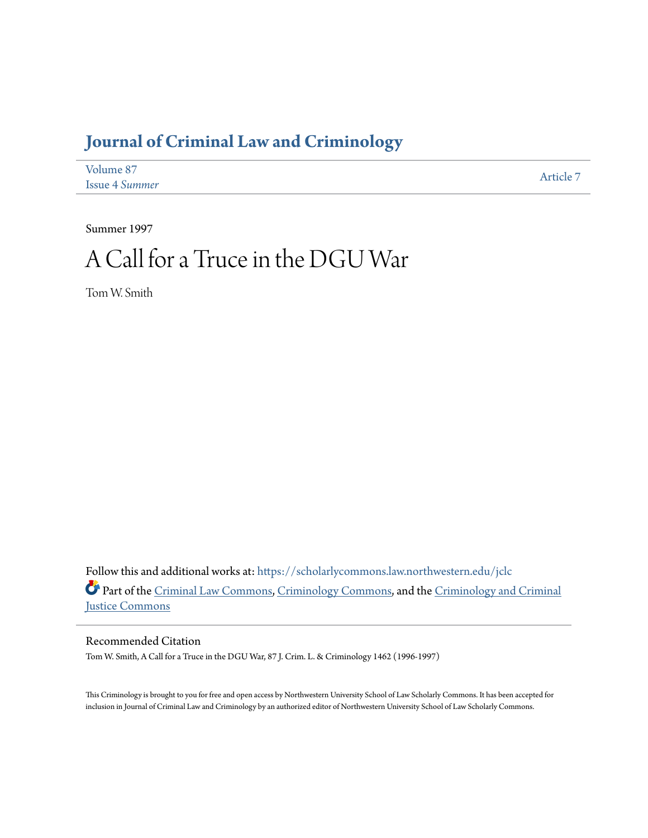## **[Journal of Criminal Law and Criminology](https://scholarlycommons.law.northwestern.edu/jclc?utm_source=scholarlycommons.law.northwestern.edu%2Fjclc%2Fvol87%2Fiss4%2F7&utm_medium=PDF&utm_campaign=PDFCoverPages)**

| Volume 87             | Article 7 |
|-----------------------|-----------|
| <b>Issue 4 Summer</b> |           |

Summer 1997

# A Call for a Truce in the DGU War

Tom W. Smith

Follow this and additional works at: [https://scholarlycommons.law.northwestern.edu/jclc](https://scholarlycommons.law.northwestern.edu/jclc?utm_source=scholarlycommons.law.northwestern.edu%2Fjclc%2Fvol87%2Fiss4%2F7&utm_medium=PDF&utm_campaign=PDFCoverPages) Part of the [Criminal Law Commons](http://network.bepress.com/hgg/discipline/912?utm_source=scholarlycommons.law.northwestern.edu%2Fjclc%2Fvol87%2Fiss4%2F7&utm_medium=PDF&utm_campaign=PDFCoverPages), [Criminology Commons](http://network.bepress.com/hgg/discipline/417?utm_source=scholarlycommons.law.northwestern.edu%2Fjclc%2Fvol87%2Fiss4%2F7&utm_medium=PDF&utm_campaign=PDFCoverPages), and the [Criminology and Criminal](http://network.bepress.com/hgg/discipline/367?utm_source=scholarlycommons.law.northwestern.edu%2Fjclc%2Fvol87%2Fiss4%2F7&utm_medium=PDF&utm_campaign=PDFCoverPages) [Justice Commons](http://network.bepress.com/hgg/discipline/367?utm_source=scholarlycommons.law.northwestern.edu%2Fjclc%2Fvol87%2Fiss4%2F7&utm_medium=PDF&utm_campaign=PDFCoverPages)

## Recommended Citation

Tom W. Smith, A Call for a Truce in the DGU War, 87 J. Crim. L. & Criminology 1462 (1996-1997)

This Criminology is brought to you for free and open access by Northwestern University School of Law Scholarly Commons. It has been accepted for inclusion in Journal of Criminal Law and Criminology by an authorized editor of Northwestern University School of Law Scholarly Commons.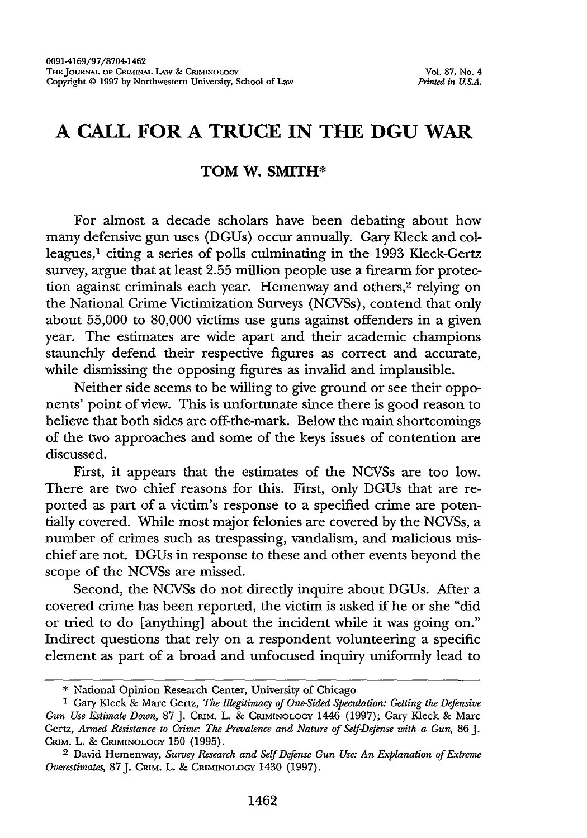## **A CALL FOR A TRUCE IN THE DGU WAR**

#### **TOM W. SMITH\***

For almost a decade scholars have been debating about how many defensive gun uses (DGUs) occur annually. Gary Kleck and colleagues,' citing a series of polls culminating in the 1993 Kleck-Gertz survey, argue that at least 2.55 million people use a firearm for protection against criminals each year. Hemenway and others,<sup>2</sup> relying on the National Crime Victimization Surveys (NCVSs), contend that only about 55,000 to 80,000 victims use guns against offenders in a given year. The estimates are wide apart and their academic champions staunchly defend their respective figures as correct and accurate, while dismissing the opposing figures as invalid and implausible.

Neither side seems to be willing to give ground or see their opponents' point of view. This is unfortunate since there is good reason to believe that both sides are off-the-mark. Below the main shortcomings of the two approaches and some of the keys issues of contention are discussed.

First, it appears that the estimates of the NCVSs are too low. There are two chief reasons for this. First, only DGUs that are reported as part of a victim's response to a specified crime are potentially covered. While most major felonies are covered by the NCVSs, a number of crimes such as trespassing, vandalism, and malicious mischief are not. DGUs in response to these and other events beyond the scope of the NCVSs are missed.

Second, the NCVSs do not directly inquire about DGUs. After a covered crime has been reported, the victim is asked if he or she "did or tried to do [anything] about the incident while it was going on." Indirect questions that rely on a respondent volunteering a specific element as part of a broad and unfocused inquiry uniformly lead to

**<sup>\*</sup>** National Opinion Research Center, University of Chicago

**<sup>1</sup>** Gary Kleck & Marc Gertz, *The Illegitimacy of One-Sided Speculation: Getting the Defensive Gun Use Estimate Down,* 87 **J.** CRIM. L. & CRIMINOLOGY 1446 (1997); Gary KIeck & Marc Gertz, *Armed Resistance to Crime: The Prevalence and Nature of Self-Defense with a Gun,* 86 J. CRIm. L. **&** CRIMINOLOGY **150** (1995).

<sup>2</sup> David Herenway, *Survey Research and Self Defense Gun Use: An Explanation of Extreme Overestimates,* 87J. CRIM. L. & CRIMINOLOGY 1430 (1997).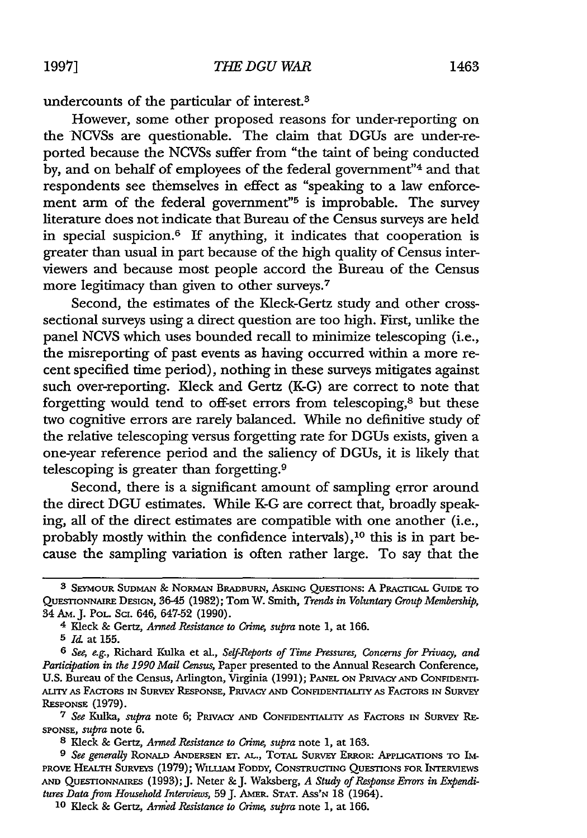undercounts of the particular of interest.3

However, some other proposed reasons for under-reporting on the NCVSs are questionable. The claim that DGUs are under-reported because the NCVSs suffer from "the taint of being conducted by, and on behalf of employees of the federal government"4 and that respondents see themselves in effect as "speaking to a law enforcement arm of the federal government"<sup>5</sup> is improbable. The survey literature does not indicate that Bureau of the Census surveys are held in special suspicion. 6 If anything, it indicates that cooperation is greater than usual in part because of the high quality of Census interviewers and because most people accord the Bureau of the Census more legitimacy than given to other surveys. <sup>7</sup>

Second, the estimates of the Kleck-Gertz study and other crosssectional surveys using a direct question are too high. First, unlike the panel NCVS which uses bounded recall to minimize telescoping (i.e., the misreporting of past events as having occurred within a more recent specified time period), nothing in these surveys mitigates against such over-reporting. Kleck and Gertz (K-G) are correct to note that forgetting would tend to off-set errors from telescoping,8 but these two cognitive errors are rarely balanced. While no definitive study of the relative telescoping versus forgetting rate for DGUs exists, given a one-year reference period and the saliency of DGUs, it is likely that telescoping is greater than forgetting.9

Second, there is a significant amount of sampling error around the direct DGU estimates. While K-G are correct that, broadly speaking, all of the direct estimates are compatible with one another (i.e., probably mostly within the confidence intervals),<sup>10</sup> this is in part because the sampling variation is often rather large. To say that the

**7** *See* Kulka, *supra* note 6; PRIVACY *AND* **CONFIDENTALITY** AS FACTORS **IN** SURVEY RE-**SPONSE,** *supra* note **6.**

**8** Kleck & Gertz, *Armed Resistance to Crime supra* note 1, at 163.

S SEYMOUR **SUDMAN** *&* NORMAN BRADBuRN, **ASKING QUESTIONS:** A **PRAarICAL** GUIDE **TO** QUESTIONNARE DESIGN, 36-45 (1982); Tom W. Smith, *Trends in Voluntary Group Membership,* 34 AM. **J.** POL. Sci. 646, 647-52 (1990).

<sup>4</sup> Kleck & Gertz, *Armed Resistance to Crime, supra* note 1, at 166.

**<sup>5</sup>** *Id.* at 155.

*<sup>6</sup> See, e.g.,* Richard Kulka et al., *Self-Reports of Time Pressures, Concerns for Privacy, and Participation in the 1990 Mail Census,* Paper presented to the Annual Research Conference, U.S. Bureau of the Census, Arlington, Virginia (1991); **PANEL ON PRIVACY AND** CONFIDENTI-**ALTY** As FACrORS **IN** SURVEY RESPONSE, PRIVACY **AND CONFiDENTIALr1Y** AS FACTORS **IN SURVEY** RESPONSE (1979).

*<sup>9</sup> See generally* RONALD **ANDERSEN ET. AL.,** TOTAL SURVEY ERROR: APPLiCATONS TO IM-**PROVE** HEALTH SURVEYS (1979); **WILLuAM** FODDY, CONSTRUCTING **QUESTIONS** FOR **INTERVIEWS** AND QUESTIONNAIRES (1993); J. Neter & J. Waksberg, A Study of Response Errors in Expendi*tures Data from Household Interviews,* 59 J. AMER. **STAT.** ASs'N 18 (1964).

**<sup>10</sup>** Kleck & Gertz, *Arned Resistance to Crime, supra* note 1, at 166.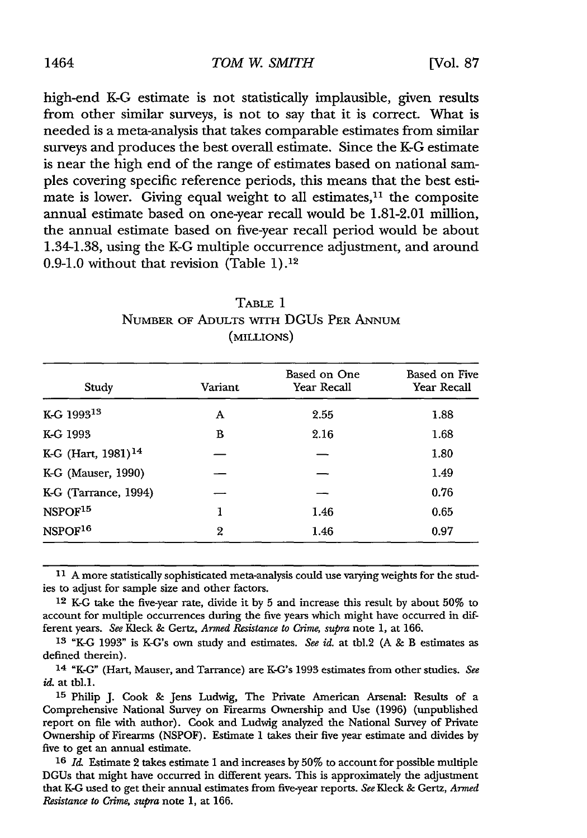## *TOM W SMITH* 1464 [Vol. **87**

high-end K-G estimate is not statistically implausible, given results from other similar surveys, is not to say that it is correct. What is needed is a meta-analysis that takes comparable estimates from similar surveys and produces the best overall estimate. Since the K-G estimate is near the high end of the range of estimates based on national samples covering specific reference periods, this means that the best estimate is lower. Giving equal weight to all estimates,<sup>11</sup> the composite annual estimate based on one-year recall would be 1.81-2.01 million, the annual estimate based on five-year recall period would be about 1.34-1.38, using the K-G multiple occurrence adjustment, and around 0.9-1.0 without that revision (Table 1).12

| Table 1                              |
|--------------------------------------|
| NUMBER OF ADULTS WITH DGUS PER ANNUM |
| (MILLIONS)                           |

| Study                          | Variant | Based on One<br>Year Recall | Based on Five<br>Year Recall |
|--------------------------------|---------|-----------------------------|------------------------------|
| K-G 1993 <sup>13</sup>         | A       | 2.55                        | 1.88                         |
| K-G 1993                       | B       | 2.16                        | 1.68                         |
| K-G (Hart, 1981) <sup>14</sup> |         |                             | 1.80                         |
| K-G (Mauser, 1990)             |         |                             | 1.49                         |
| K-G (Tarrance, 1994)           |         |                             | 0.76                         |
| NSPOF <sup>15</sup>            | 1       | 1.46                        | 0.65                         |
| NSPOF <sup>16</sup>            | 2       | 1.46                        | 0.97                         |

**11** A more statistically sophisticated meta-analysis could use varying weights for the studies to adjust for sample size and other factors.

12 K-G take the five-year rate, divide it by 5 and increase this result by about 50% to account for multiple occurrences during the five years which might have occurred in different years. *See* Kleck **&** Gertz, *Armed Resistance to Crime, supra* note 1, at 166.

**13** "K-G 1993" is K-G's own study and estimates. *See id.* at tbl.2 (A **&** B estimates as defined therein).

14 "K-G" (Hart, Mauser, and Tarrance) are K-G's 1993 estimates from other studies. *See id.* at tbl.1.

**<sup>15</sup>**Philip J. Cook **&** Jens Ludwig, The Private American Arsenal: Results of a Comprehensive National Survey on Firearms Ownership and Use (1996) (unpublished report on file with author). Cook and Ludwig analyzed the National Survey of Private Ownership of Firearms (NSPOF). Estimate 1 takes their five year estimate and divides by five to get an annual estimate.

16 *Id.* Estimate 2 takes estimate 1 and increases by 50% to account for possible multiple DGUs that might have occurred in different years. This is approximately the adjustment that K-G used to get their annual estimates from five-year reports. *See* Kleck & Gertz, *Armed Resistance to Crime, supra* note 1, at 166.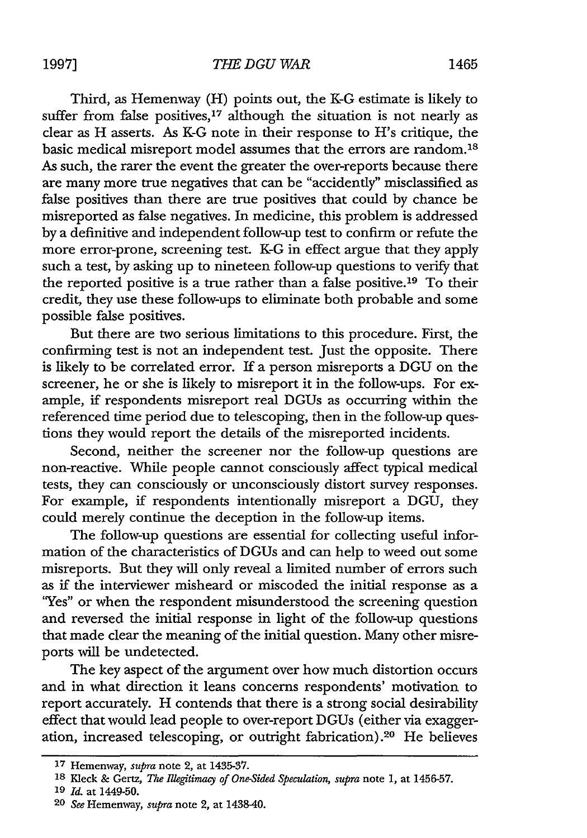Third, as Hemenway (H) points out, the K-G estimate is likely to suffer from false positives,<sup>17</sup> although the situation is not nearly as clear as H asserts. As K-G note in their response to H's critique, the basic medical misreport model assumes that the errors are random.<sup>18</sup> As such, the rarer the event the greater the over-reports because there are many more true negatives that can be "accidently" misclassified as false positives than there are true positives that could by chance be misreported as false negatives. In medicine, this problem is addressed by a definitive and independent follow-up test to confirm or refute the more error-prone, screening test. K-G in effect argue that they apply such a test, by asking up to nineteen follow-up questions to verify that the reported positive is a true rather than a false positive.<sup>19</sup> To their credit, they use these follow-ups to eliminate both probable and some possible false positives.

But there are two serious limitations to this procedure. First, the confirming test is not an independent test. Just the opposite. There is likely to be correlated error. If a person misreports a DGU on the screener, he or she is likely to misreport it in the follow-ups. For example, if respondents misreport real DGUs as occurring within the referenced time period due to telescoping, then in the follow-up questions they would report the details of the misreported incidents.

Second, neither the screener nor the follow-up questions are non-reactive. While people cannot consciously affect typical medical tests, they can consciously or unconsciously distort survey responses. For example, if respondents intentionally misreport a DGU, they could merely continue the deception in the follow-up items.

The follow-up questions are essential for collecting useful information of the characteristics of DGUs and can help to weed out some misreports. But they will only reveal a limited number of errors such as if the interviewer misheard or miscoded the initial response as a 'Yes" or when the respondent misunderstood the screening question and reversed the initial response in light of the follow-up questions that made clear the meaning of the initial question. Many other misreports will be undetected.

The key aspect of the argument over how much distortion occurs and in what direction it leans concerns respondents' motivation to report accurately. H contends that there is a strong social desirability effect that would lead people to over-report DGUs (either via exaggeration, increased telescoping, or outright fabrication).20 He believes

**<sup>17</sup>** Hemenway, *supra* note 2, at 1435-37.

**<sup>18</sup>** Kleck & Gertz, *The Illegitimacy of One-Sided Speculation, supra* note 1, at 1456-57.

**<sup>19</sup>***Id.* at 1449-50.

<sup>20</sup> *See* Hemenway, *supra* note 2, at 1438-40.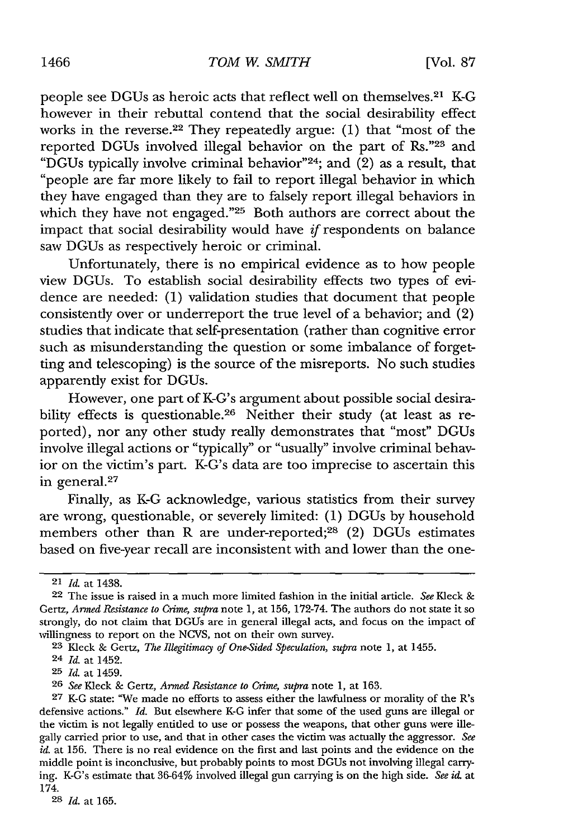people see DGUs as heroic acts that reflect well on themselves.2' K-G however in their rebuttal contend that the social desirability effect works in the reverse.<sup>22</sup> They repeatedly argue: (1) that "most of the reported DGUs involved illegal behavior on the part of Rs."23 and "DGUs typically involve criminal behavior"<sup>24</sup>; and  $(2)$  as a result, that "people are far more likely to fail to report illegal behavior in which they have engaged than they are to falsely report illegal behaviors in which they have not engaged."<sup>25</sup> Both authors are correct about the impact that social desirability would have *if* respondents on balance saw DGUs as respectively heroic or criminal.

Unfortunately, there is no empirical evidence as to how people view DGUs. To establish social desirability effects two types of evidence are needed: (1) validation studies that document that people consistently over or underreport the true level of a behavior; and (2) studies that indicate that self-presentation (rather than cognitive error such as misunderstanding the question or some imbalance of forgetting and telescoping) is the source of the misreports. No such studies apparently exist for DGUs.

However, one part of K-G's argument about possible social desirability effects is questionable.<sup>26</sup> Neither their study (at least as reported), nor any other study really demonstrates that "most" DGUs involve illegal actions or "typically" or "usually" involve criminal behavior on the victim's part. K-G's data are too imprecise to ascertain this in general.<sup>27</sup>

Finally, as K-G acknowledge, various statistics from their survey are wrong, questionable, or severely limited: (1) DGUs by household members other than R are under-reported; $28$  (2) DGUs estimates based on five-year recall are inconsistent with and lower than the one-

**<sup>21</sup>** *Id.* at 1438.

<sup>22</sup> The issue is raised in a much more limited fashion in the initial article. *See* Kleck & Gertz, *Armed Resistance to Crime, supra* note 1, at 156, 172-74. The authors do not state it so strongly, do not claim that DGUs are in general illegal acts, and focus on the impact of willingness to report on the NCVS, not on their own survey.

**<sup>23</sup>** Kleck & Gertz, *The Illegitimacy of One-Sided Speculation, supra* note 1, at 1455.

<sup>24</sup> *Id.* at 1452.

**<sup>25</sup>** *Id.* at 1459.

**<sup>26</sup>** *See* Kleck & Gertz, *Armed Resistance to Crime, supra* note 1, at 163.

**<sup>27</sup>** K-C state: "We made no efforts to assess either the lawfulness or morality of the R's defensive actions." *Id.* But elsewhere K-G infer that some of the used guns are illegal or the victim is not legally entitled to use or possess the weapons, that other guns were illegally carried prior to use, and that in other cases the victim was actually the aggressor. *See id.* at 156. There is no real evidence on the first and last points and the evidence on the middle point is inconclusive, but probably points to most DGUs not involving illegal carrying. K-G's estimate that 36-64% involved illegal gun carrying is on the high side. *See id.* at 174.

**<sup>28</sup>** *Id.* at 165.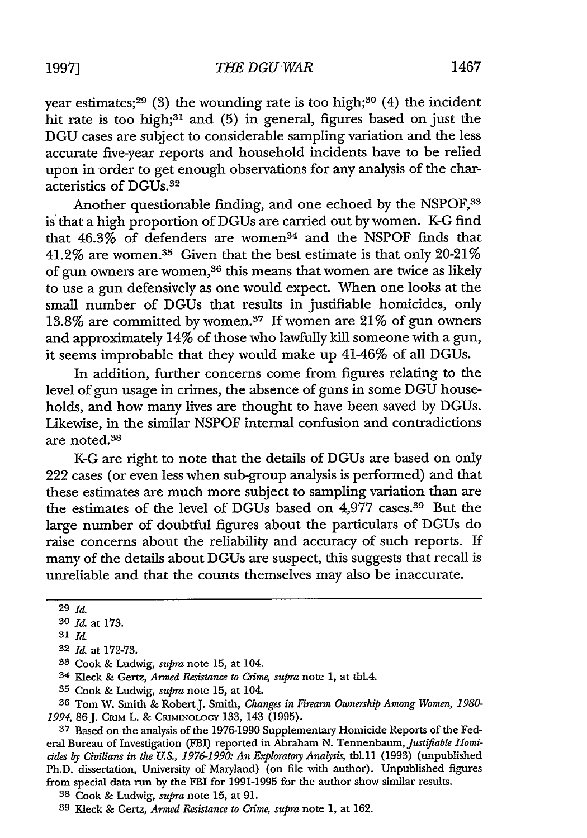year estimates;<sup>29</sup> (3) the wounding rate is too high;<sup>30</sup> (4) the incident hit rate is too high; $31$  and (5) in general, figures based on just the DGU cases are subject to considerable sampling variation and the less accurate five-year reports and household incidents have to be relied upon in order to get enough observations for any analysis of the characteristics of DGUs.32

Another questionable finding, and one echoed by the NSPOF,<sup>33</sup> is that a high proportion of DGUs are carried out by women. K-G find that  $46.3\%$  of defenders are women<sup>34</sup> and the NSPOF finds that 41.2% are women.35 Given that the best estimate is that only 20-21% of gun owners are women,<sup>36</sup> this means that women are twice as likely to use a gun defensively as one would expect. When one looks at the small number of DGUs that results in justifiable homicides, only 13.8% are committed by women.<sup>37</sup> If women are  $21\%$  of gun owners and approximately 14% of those who lawfully kill someone with a gun, it seems improbable that they would make up 41-46% of all DGUs.

In addition, further concerns come from figures relating to the level of gun usage in crimes, the absence of guns in some DGU households, and how many lives are thought to have been saved by DGUs. Likewise, in the similar NSPOF internal confusion and contradictions are noted.<sup>38</sup>

K-G are right to note that the details of DGUs are based on only 222 cases (or even less when sub-group analysis is performed) and that these estimates are much more subject to sampling variation than are the estimates of the level of DGUs based on 4,977 cases.<sup>39</sup> But the large number of doubtful figures about the particulars of DGUs do raise concerns about the reliability and accuracy of such reports. If many of the details about DGUs are suspect, this suggests that recall is unreliable and that the counts themselves may also be inaccurate.

**<sup>29</sup>** *Id*

**<sup>30</sup>** *Id.* at 173.

**<sup>31</sup>** *Id*

**<sup>32</sup>** *Id.* at 172-73.

**<sup>33</sup>** Cook & Ludwig, *supra* note 15, at 104.

**<sup>34</sup>** Kleck & Gertz, *Armed Resistance to Crime supra* note 1, at tbl.4.

**<sup>35</sup>** Cook & Ludwig, *supra* note 15, at 104.

**<sup>36</sup>** Tom W. Smith & RobertJ. Smith, *Changes in Firearm Ownership Among Women, 1980-* 1994, 86 J. Crim L. & Criminology 133, 143 (1995).

**<sup>37</sup>** Based on the analysis of the 1976-1990 Supplementary Homicide Reports of the Federal Bureau of Investigation (FBI) reported in Abraham N. Tennenbaum, *Justifiable Homicides by Civilians in the U.S., 1976-1990. An Exploratory Analysis,* tbl.11 (1993) (unpublished Ph.D. dissertation, University of Maryland) (on file with author). Unpublished figures from special data run by the FBI for 1991-1995 for the author show similar results.

**<sup>38</sup>** Cook & Ludwig, *supra* note 15, at 91.

**<sup>39</sup>** Kleck & Gertz, *Armed Resistance to Crime, supra* note 1, at 162.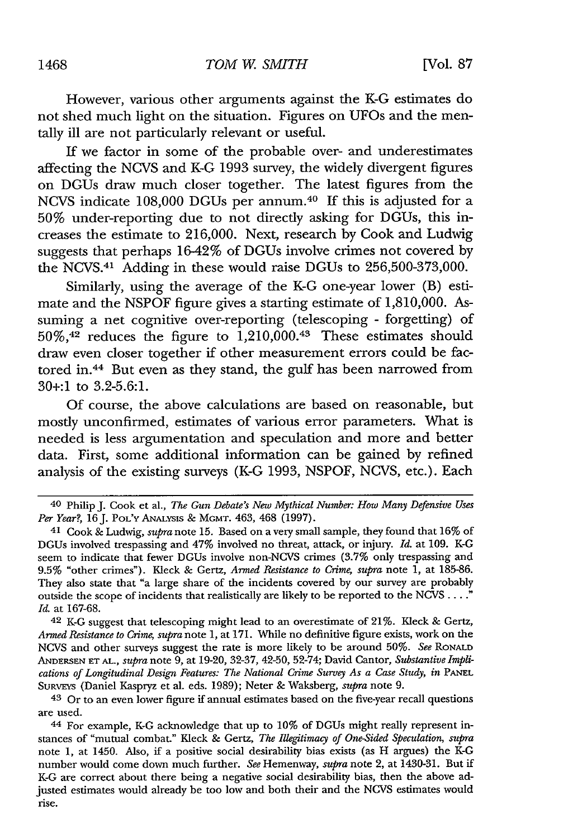However, various other arguments against the K-G estimates do not shed much light on the situation. Figures on UFOs and the mentally ill are not particularly relevant or useful.

If we factor in some of the probable over- and underestimates affecting the NCVS and K-G 1993 survey, the widely divergent figures on DGUs draw much closer together. The latest figures from the NCVS indicate 108,000 DGUs per annum.40 If this is adjusted for a 50% under-reporting due to not directly asking for DGUs, this increases the estimate to 216,000. Next, research by Cook and Ludwig suggests that perhaps 16-42% of DGUs involve crimes not covered by the NCVS. 41 Adding in these would raise DGUs to 256,500-373,000.

Similarly, using the average of the K-G one-year lower (B) estimate and the NSPOF figure gives a starting estimate of 1,810,000. Assuming a net cognitive over-reporting (telescoping - forgetting) of  $50\%,$ <sup>42</sup> reduces the figure to  $1,210,000$ .<sup>43</sup> These estimates should draw even closer together if other measurement errors could be factored in.44 But even as they stand, the gulf has been narrowed from 30+:1 to 3.2-5.6:1.

Of course, the above calculations are based on reasonable, but mostly unconfirmed, estimates of various error parameters. What is needed is less argumentation and speculation and more and better data. First, some additional information can be gained by refined analysis of the existing surveys (K-G 1993, NSPOF, NCVS, etc.). Each

42 **K-G** suggest that telescoping might lead to an overestimate of 21%. Kleck & Gertz, *Armed Resistance to Crime, supra* note 1, at 171. While no definitive figure exists, work on the NCVS and other surveys suggest the rate is more likely to be around 50%. *See* RONALD ANDERSEN **ET AL.,** *supra* note 9, at 19-20, 32-37, 42-50, 52-74; David Cantor, *Substantive Implications of Longitudinal Design Features: The National Crime Survey As a Case Study, in PANEL* SuRvEYs (Daniel Kaspryz et al. eds. 1989); Neter & Waksberg, *supra* note 9.

<sup>40</sup> Philip J. Cook et al., *The Gun Debate's New Mythical Number: How Many Defensive Uses Per Year?,* 16J. POL'Y ANALYSis & MGMT. 463, 468 (1997).

**<sup>41</sup>** Cook & Ludwig, *supra* note 15. Based on a very small sample, they found that 16% of DGUs involved trespassing and 47% involved no threat, attack, or injury. *Id.* at 109. K-G seem to indicate that fewer DGUs involve non-NCVS crimes (3.7% only trespassing and 9.5% "other crimes"). Kleck & Gertz, *Armed Resistance to Crime, supra* note 1, at 185-86. They also state that "a large share of the incidents covered by our survey are probably outside the scope of incidents that realistically are likely to be reported to the NCVS .... **" Id.** at 167-68.

<sup>43</sup>Or to an even lower figure if annual estimates based on the five-year recall questions are used.

<sup>44</sup> For example, K-G acknowledge that up to 10% of DGUs might really represent instances of "mutual combat." Kleck & Gertz, *The Illegitimacy of One-Sided Speculation, supra* note 1, at 1450. Also, if a positive social desirability bias exists (as H argues) the K-G number would come down much further. *See* Hemenway, supra note 2, at 1430-31. But if K-G are correct about there being a negative social desirability bias, then the above adjusted estimates would already be too low and both their and the NCVS estimates would rise.